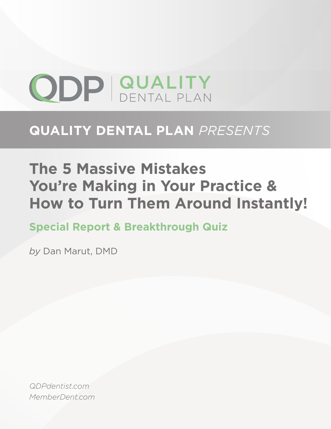# **ODP GUALITY**

# **QUALITY DENTAL PLAN** *PRESENTS*

# **The 5 Massive Mistakes You're Making in Your Practice & How to Turn Them Around Instantly!**

**Special Report & Breakthrough Quiz**

*by* Dan Marut, DMD

*QDPdentist.com MemberDent.com*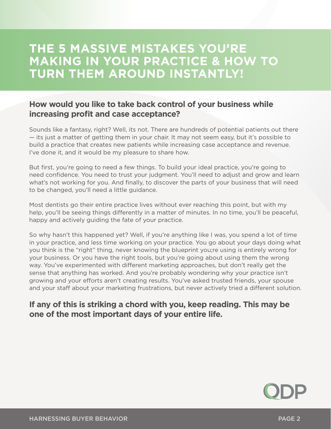## **THE 5 MASSIVE MISTAKES YOU'RE MAKING IN YOUR PRACTICE & HOW TO TURN THEM AROUND INSTANTLY!**

#### **How would you like to take back control of your business while increasing profit and case acceptance?**

Sounds like a fantasy, right? Well, its not. There are hundreds of potential patients out there — its just a matter of getting them in your chair. It may not seem easy, but it's possible to build a practice that creates new patients while increasing case acceptance and revenue. I've done it, and it would be my pleasure to share how.

But first, you're going to need a few things. To build your ideal practice, you're going to need confidence. You need to trust your judgment. You'll need to adjust and grow and learn what's not working for you. And finally, to discover the parts of your business that will need to be changed, you'll need a little guidance.

Most dentists go their entire practice lives without ever reaching this point, but with my help, you'll be seeing things differently in a matter of minutes. In no time, you'll be peaceful, happy and actively guiding the fate of your practice.

So why hasn't this happened yet? Well, if you're anything like I was, you spend a lot of time in your practice, and less time working on your practice. You go about your days doing what you think is the "right" thing, never knowing the blueprint you;re using is entirely wrong for your business. Or you have the right tools, but you're going about using them the wrong way. You've experimented with different marketing approaches, but don't really get the sense that anything has worked. And you're probably wondering why your practice isn't growing and your efforts aren't creating results. You've asked trusted friends, your spouse and your staff about your marketing frustrations, but never actively tried a different solution.

#### **If any of this is striking a chord with you, keep reading. This may be one of the most important days of your entire life.**

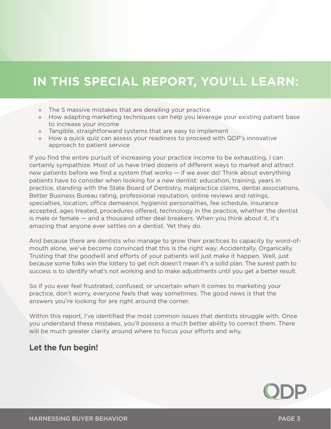## **IN THIS SPECIAL REPORT, YOU'LL LEARN:**

- » The 5 massive mistakes that are derailing your practice
- » How adapting marketing techniques can help you leverage your existing patient base to increase your income
- » Tangible, straightforward systems that are easy to implement
- » How a quick quiz can assess your readiness to proceed with QDP's innovative approach to patient service

If you find the entire pursuit of increasing your practice income to be exhausting, I can certainly sympathize. Most of us have tried dozens of different ways to market and attract new patients before we find a system that works — if we ever do! Think about everything patients have to consider when looking for a new dentist: education, training, years in practice, standing with the State Board of Dentistry, malpractice claims, dental associations, Better Business Bureau rating, professional reputation, online reviews and ratings, specialties, location, office demeanor, hygienist personalities, fee schedule, insurance accepted, ages treated, procedures offered, technology in the practice, whether the dentist is male or female — and a thousand other deal breakers. When you think about it, it's amazing that anyone ever settles on a dentist. Yet they do.

And because there are dentists who manage to grow their practices to capacity by word-ofmouth alone, we've become convinced that this is the right way. Accidentally. Organically. Trusting that the goodwill and efforts of your patients will just make it happen. Well, just because some folks win the lottery to get rich doesn't mean it's a solid plan. The surest path to success is to identify what's not working and to make adjustments until you get a better result.

So if you ever feel frustrated, confused, or uncertain when it comes to marketing your practice, don't worry, everyone feels that way sometimes. The good news is that the answers you're looking for are right around the corner.

Within this report, I've identified the most common issues that dentists struggle with. Once you understand these mistakes, you'll possess a much better ability to correct them. There will be much greater clarity around where to focus your efforts and why.

#### **Let the fun begin!**

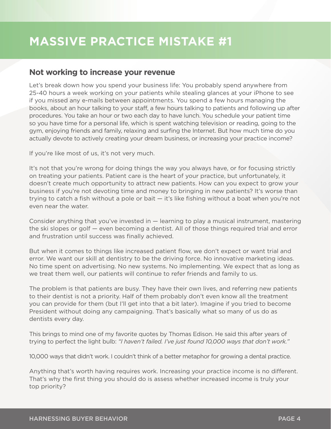#### **Not working to increase your revenue**

Let's break down how you spend your business life: You probably spend anywhere from 25-40 hours a week working on your patients while stealing glances at your iPhone to see if you missed any e-mails between appointments. You spend a few hours managing the books, about an hour talking to your staff, a few hours talking to patients and following up after procedures. You take an hour or two each day to have lunch. You schedule your patient time so you have time for a personal life, which is spent watching television or reading, going to the gym, enjoying friends and family, relaxing and surfing the Internet. But how much time do you actually devote to actively creating your dream business, or increasing your practice income?

If you're like most of us, it's not very much.

It's not that you're wrong for doing things the way you always have, or for focusing strictly on treating your patients. Patient care is the heart of your practice, but unfortunately, it doesn't create much opportunity to attract new patients. How can you expect to grow your business if you're not devoting time and money to bringing in new patients? It's worse than trying to catch a fish without a pole or bait — it's like fishing without a boat when you're not even near the water.

Consider anything that you've invested in — learning to play a musical instrument, mastering the ski slopes or golf — even becoming a dentist. All of those things required trial and error and frustration until success was finally achieved.

But when it comes to things like increased patient flow, we don't expect or want trial and error. We want our skill at dentistry to be the driving force. No innovative marketing ideas. No time spent on advertising. No new systems. No implementing. We expect that as long as we treat them well, our patients will continue to refer friends and family to us.

The problem is that patients are busy. They have their own lives, and referring new patients to their dentist is not a priority. Half of them probably don't even know all the treatment you can provide for them (but I'll get into that a bit later). Imagine if you tried to become President without doing any campaigning. That's basically what so many of us do as dentists every day.

This brings to mind one of my favorite quotes by Thomas Edison. He said this after years of trying to perfect the light bulb: *"I haven't failed. I've just found 10,000 ways that don't work."*

10,000 ways that didn't work. I couldn't think of a better metaphor for growing a dental practice.

Anything that's worth having requires work. Increasing your practice income is no different. That's why the first thing you should do is assess whether increased income is truly your top priority?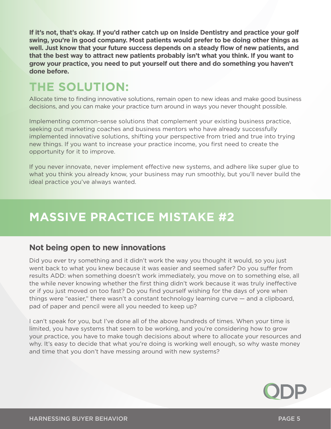**If it's not, that's okay. If you'd rather catch up on Inside Dentistry and practice your golf swing, you're in good company. Most patients would prefer to be doing other things as well. Just know that your future success depends on a steady flow of new patients, and that the best way to attract new patients probably isn't what you think. If you want to grow your practice, you need to put yourself out there and do something you haven't done before.**

## **THE SOLUTION:**

Allocate time to finding innovative solutions, remain open to new ideas and make good business decisions, and you can make your practice turn around in ways you never thought possible.

Implementing common-sense solutions that complement your existing business practice, seeking out marketing coaches and business mentors who have already successfully implemented innovative solutions, shifting your perspective from tried and true into trying new things. If you want to increase your practice income, you first need to create the opportunity for it to improve.

If you never innovate, never implement effective new systems, and adhere like super glue to what you think you already know, your business may run smoothly, but you'll never build the ideal practice you've always wanted.

## **MASSIVE PRACTICE MISTAKE #2**

#### **Not being open to new innovations**

Did you ever try something and it didn't work the way you thought it would, so you just went back to what you knew because it was easier and seemed safer? Do you suffer from results ADD: when something doesn't work immediately, you move on to something else, all the while never knowing whether the first thing didn't work because it was truly ineffective or if you just moved on too fast? Do you find yourself wishing for the days of yore when things were "easier," there wasn't a constant technology learning curve — and a clipboard, pad of paper and pencil were all you needed to keep up?

I can't speak for you, but I've done all of the above hundreds of times. When your time is limited, you have systems that seem to be working, and you're considering how to grow your practice, you have to make tough decisions about where to allocate your resources and why. It's easy to decide that what you're doing is working well enough, so why waste money and time that you don't have messing around with new systems?

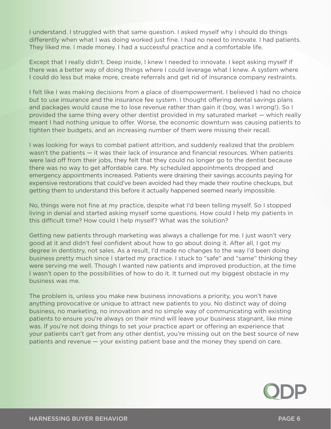I understand. I struggled with that same question. I asked myself why I should do things differently when what I was doing worked just fine. I had no need to innovate. I had patients. They liked me. I made money. I had a successful practice and a comfortable life.

Except that I really didn't. Deep inside, I knew I needed to innovate. I kept asking myself if there was a better way of doing things where I could leverage what I knew. A system where I could do less but make more, create referrals and get rid of insurance company restraints.

I felt like I was making decisions from a place of disempowerment. I believed I had no choice but to use insurance and the insurance fee system. I thought offering dental savings plans and packages would cause me to lose revenue rather than gain it (boy, was I wrong!). So I provided the same thing every other dentist provided in my saturated market — which really meant I had nothing unique to offer. Worse, the economic downturn was causing patients to tighten their budgets, and an increasing number of them were missing their recall.

I was looking for ways to combat patient attrition, and suddenly realized that the problem wasn't the patients — it was their lack of insurance and financial resources. When patients were laid off from their jobs, they felt that they could no longer go to the dentist because there was no way to get affordable care. My scheduled appointments dropped and emergency appointments increased. Patients were draining their savings accounts paying for expensive restorations that could've been avoided had they made their routine checkups, but getting them to understand this before it actually happened seemed nearly impossible.

No, things were not fine at my practice, despite what I'd been telling myself. So I stopped living in denial and started asking myself some questions. How could I help my patients in this difficult time? How could I help myself? What was the solution?

Getting new patients through marketing was always a challenge for me. I just wasn't very good at it and didn't feel confident about how to go about doing it. After all, I got my degree in dentistry, not sales. As a result, I'd made no changes to the way I'd been doing business pretty much since I started my practice. I stuck to "safe" and "same" thinking they were serving me well. Though I wanted new patients and improved production, at the time I wasn't open to the possibilities of how to do it. It turned out my biggest obstacle in my business was me.

The problem is, unless you make new business innovations a priority, you won't have anything provocative or unique to attract new patients to you. No distinct way of doing business, no marketing, no innovation and no simple way of communicating with existing patients to ensure you're always on their mind will leave your business stagnant, like mine was. If you're not doing things to set your practice apart or offering an experience that your patients can't get from any other dentist, you're missing out on the best source of new patients and revenue — your existing patient base and the money they spend on care.

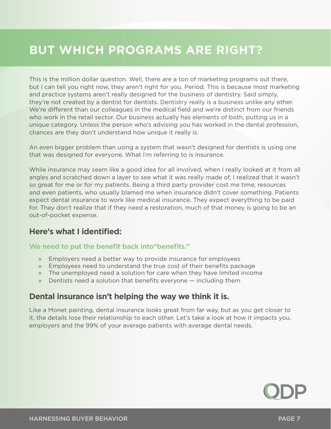## **BUT WHICH PROGRAMS ARE RIGHT?**

This is the million dollar question. Well, there are a ton of marketing programs out there, but I can tell you right now, they aren't right for you. Period. This is because most marketing and practice systems aren't really designed for the business of dentistry. Said simply, they're not created by a dentist for dentists. Dentistry really is a business unlike any other. We're different than our colleagues in the medical field and we're distinct from our friends who work in the retail sector. Our business actually has elements of both, putting us in a unique category. Unless the person who's advising you has worked in the dental profession, chances are they don't understand how unique it really is.

An even bigger problem than using a system that wasn't designed for dentists is using one that was designed for everyone. What I'm referring to is insurance.

While insurance may seem like a good idea for all involved, when I really looked at it from all angles and scratched down a layer to see what it was really made of, I realized that it wasn't so great for me or for my patients. Being a third party provider cost me time, resources and even patients, who usually blamed me when insurance didn't cover something. Patients expect dental insurance to work like medical insurance. They expect everything to be paid for. They don't realize that if they need a restoration, much of that money is going to be an out-of-pocket expense.

#### **Here's what I identified:**

#### **We need to put the benefit back into"benefits."**

- » Employers need a better way to provide insurance for employees
- » Employees need to understand the true cost of their benefits package
- » The unemployed need a solution for care when they have limited income
- » Dentists need a solution that benefits everyone including them

#### **Dental insurance isn't helping the way we think it is.**

Like a Monet painting, dental insurance looks great from far way, but as you get closer to it, the details lose their relationship to each other. Let's take a look at how it impacts you, employers and the 99% of your average patients with average dental needs.

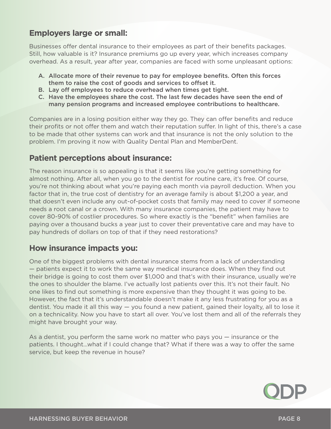#### **Employers large or small:**

Businesses offer dental insurance to their employees as part of their benefits packages. Still, how valuable is it? Insurance premiums go up every year, which increases company overhead. As a result, year after year, companies are faced with some unpleasant options:

- A. Allocate more of their revenue to pay for employee benefits. Often this forces them to raise the cost of goods and services to offset it.
- B. Lay off employees to reduce overhead when times get tight.
- C. Have the employees share the cost. The last few decades have seen the end of many pension programs and increased employee contributions to healthcare.

Companies are in a losing position either way they go. They can offer benefits and reduce their profits or not offer them and watch their reputation suffer. In light of this, there's a case to be made that other systems can work and that insurance is not the only solution to the problem. I'm proving it now with Quality Dental Plan and MemberDent.

#### **Patient perceptions about insurance:**

The reason insurance is so appealing is that it seems like you're getting something for almost nothing. After all, when you go to the dentist for routine care, it's free. Of course, you're not thinking about what you're paying each month via payroll deduction. When you factor that in, the true cost of dentistry for an average family is about \$1,200 a year, and that doesn't even include any out-of-pocket costs that family may need to cover if someone needs a root canal or a crown. With many insurance companies, the patient may have to cover 80-90% of costlier procedures. So where exactly is the "benefit" when families are paying over a thousand bucks a year just to cover their preventative care and may have to pay hundreds of dollars on top of that if they need restorations?

#### **How insurance impacts you:**

One of the biggest problems with dental insurance stems from a lack of understanding — patients expect it to work the same way medical insurance does. When they find out their bridge is going to cost them over \$1,000 and that's with their insurance, usually we're the ones to shoulder the blame. I've actually lost patients over this. It's not their fault. No one likes to find out something is more expensive than they thought it was going to be. However, the fact that it's understandable doesn't make it any less frustrating for you as a dentist. You made it all this way — you found a new patient, gained their loyalty, all to lose it on a technicality. Now you have to start all over. You've lost them and all of the referrals they might have brought your way.

As a dentist, you perform the same work no matter who pays you — insurance or the patients. I thought…what if I could change that? What if there was a way to offer the same service, but keep the revenue in house?

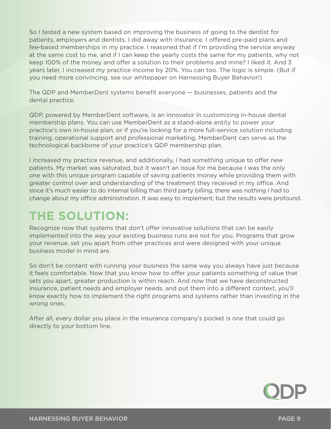So I tested a new system based on improving the business of going to the dentist for patients, employers and dentists. I did away with insurance. I offered pre-paid plans and fee-based memberships in my practice. I reasoned that if I'm providing the service anyway at the same cost to me, and if I can keep the yearly costs the same for my patients, why not keep 100% of the money and offer a solution to their problems and mine? I liked it. And 3 years later, I increased my practice income by 20%. You can too. The logic is simple. (But if you need more convincing, see our whitepaper on Harnessing Buyer Behavior!)

The QDP and MemberDent systems benefit everyone — businesses, patients and the dental practice.

QDP, powered by MemberDent software, is an innovator in customizing in-house dental membership plans. You can use MemberDent as a stand-alone entity to power your practice's own in-house plan, or if you're looking for a more full-service solution including training, operational support and professional marketing, MemberDent can serve as the technological backbone of your practice's QDP membership plan.

I increased my practice revenue, and additionally, I had something unique to offer new patients. My market was saturated, but it wasn't an issue for me because I was the only one with this unique program capable of saving patients money while providing them with greater control over and understanding of the treatment they received in my office. And since it's much easier to do internal billing than third party billing, there was nothing I had to change about my office administration. It was easy to implement, but the results were profound.

## **THE SOLUTION:**

Recognize now that systems that don't offer innovative solutions that can be easily implemented into the way your existing business runs are not for you. Programs that grow your revenue, set you apart from other practices and were designed with your unique business model in mind are.

So don't be content with running your business the same way you always have just because it feels comfortable. Now that you know how to offer your patients something of value that sets you apart, greater production is within reach. And now that we have deconstructed insurance, patient needs and employer needs, and put them into a different context, you'll know exactly how to implement the right programs and systems rather than investing in the wrong ones.

After all, every dollar you place in the insurance company's pocket is one that could go directly to your bottom line.

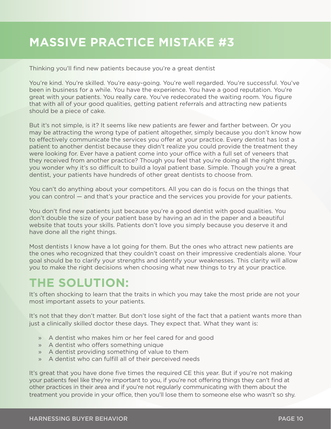## **MASSIVE PRACTICE MISTAKE #3**

Thinking you'll find new patients because you're a great dentist

You're kind. You're skilled. You're easy-going. You're well regarded. You're successful. You've been in business for a while. You have the experience. You have a good reputation. You're great with your patients. You really care. You've redecorated the waiting room. You figure that with all of your good qualities, getting patient referrals and attracting new patients should be a piece of cake.

But it's not simple, is it? It seems like new patients are fewer and farther between. Or you may be attracting the wrong type of patient altogether, simply because you don't know how to effectively communicate the services you offer at your practice. Every dentist has lost a patient to another dentist because they didn't realize you could provide the treatment they were looking for. Ever have a patient come into your office with a full set of veneers that they received from another practice? Though you feel that you're doing all the right things, you wonder why it's so difficult to build a loyal patient base. Simple. Though you're a great dentist, your patients have hundreds of other great dentists to choose from.

You can't do anything about your competitors. All you can do is focus on the things that you can control — and that's your practice and the services you provide for your patients.

You don't find new patients just because you're a good dentist with good qualities. You don't double the size of your patient base by having an ad in the paper and a beautiful website that touts your skills. Patients don't love you simply because you deserve it and have done all the right things.

Most dentists I know have a lot going for them. But the ones who attract new patients are the ones who recognized that they couldn't coast on their impressive credentials alone. Your goal should be to clarify your strengths and identify your weaknesses. This clarity will allow you to make the right decisions when choosing what new things to try at your practice.

## **THE SOLUTION:**

It's often shocking to learn that the traits in which you may take the most pride are not your most important assets to your patients.

It's not that they don't matter. But don't lose sight of the fact that a patient wants more than just a clinically skilled doctor these days. They expect that. What they want is:

- » A dentist who makes him or her feel cared for and good
- » A dentist who offers something unique
- » A dentist providing something of value to them
- » A dentist who can fulfill all of their perceived needs

It's great that you have done five times the required CE this year. But if you're not making your patients feel like they're important to you, if you're not offering things they can't find at other practices in their area and if you're not regularly communicating with them about the treatment you provide in your office, then you'll lose them to someone else who wasn't so shy.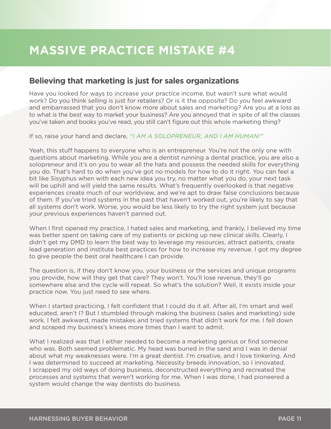## **MASSIVE PRACTICE MISTAKE #4**

#### **Believing that marketing is just for sales organizations**

Have you looked for ways to increase your practice income, but wasn't sure what would work? Do you think selling is just for retailers? Or is it the opposite? Do you feel awkward and embarrassed that you don't know more about sales and marketing? Are you at a loss as to what is the best way to market your business? Are you annoyed that in spite of all the classes you've taken and books you've read, you still can't figure out this whole marketing thing?

If so, raise your hand and declare, *"I AM A SOLOPRENEUR, AND I AM HUMAN!"*

Yeah, this stuff happens to everyone who is an entrepreneur. You're not the only one with questions about marketing. While you are a dentist running a dental practice, you are also a solopreneur and it's on you to wear all the hats and possess the needed skills for everything you do. That's hard to do when you've got no models for how to do it right. You can feel a bit like Sisyphus when with each new idea you try, no matter what you do, your next task will be uphill and will yield the same results. What's frequently overlooked is that negative experiences create much of our worldview, and we're apt to draw false conclusions because of them. If you've tried systems in the past that haven't worked out, you're likely to say that all systems don't work. Worse, you would be less likely to try the right system just because your previous experiences haven't panned out.

When I first opened my practice, I hated sales and marketing, and frankly, I believed my time was better spent on taking care of my patients or picking up new clinical skills. Clearly, I didn't get my DMD to learn the best way to leverage my resources, attract patients, create lead generation and institute best practices for how to increase my revenue. I got my degree to give people the best oral healthcare I can provide.

The question is, if they don't know you, your business or the services and unique programs you provide, how will they get that care? They won't. You'll lose revenue, they'll go somewhere else and the cycle will repeat. So what's the solution? Well, it exists inside your practice now. You just need to see where.

When I started practicing, I felt confident that I could do it all. After all, I'm smart and well educated, aren't I? But I stumbled through making the business (sales and marketing) side work. I felt awkward, made mistakes and tried systems that didn't work for me. I fell down and scraped my business's knees more times than I want to admit.

What I realized was that I either needed to become a marketing genius or find someone who was. Both seemed problematic. My head was buried in the sand and I was in denial about what my weaknesses were. I'm a great dentist. I'm creative, and I love tinkering. And I was determined to succeed at marketing. Necessity breeds innovation, so I innovated. I scrapped my old ways of doing business, deconstructed everything and recreated the processes and systems that weren't working for me. When I was done, I had pioneered a system would change the way dentists do business.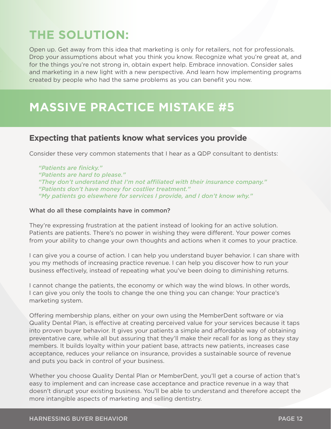## **THE SOLUTION:**

Open up. Get away from this idea that marketing is only for retailers, not for professionals. Drop your assumptions about what you think you know. Recognize what you're great at, and for the things you're not strong in, obtain expert help. Embrace innovation. Consider sales and marketing in a new light with a new perspective. And learn how implementing programs created by people who had the same problems as you can benefit you now.

## **MASSIVE PRACTICE MISTAKE #5**

#### **Expecting that patients know what services you provide**

Consider these very common statements that I hear as a QDP consultant to dentists:

*"Patients are finicky." "Patients are hard to please." "They don't understand that I'm not affiliated with their insurance company." "Patients don't have money for costlier treatment." "My patients go elsewhere for services I provide, and I don't know why."*

#### What do all these complaints have in common?

They're expressing frustration at the patient instead of looking for an active solution. Patients are patients. There's no power in wishing they were different. Your power comes from your ability to change your own thoughts and actions when it comes to your practice.

I can give you a course of action. I can help you understand buyer behavior. I can share with you my methods of increasing practice revenue. I can help you discover how to run your business effectively, instead of repeating what you've been doing to diminishing returns.

I cannot change the patients, the economy or which way the wind blows. In other words, I can give you only the tools to change the one thing you can change: Your practice's marketing system.

Offering membership plans, either on your own using the MemberDent software or via Quality Dental Plan, is effective at creating perceived value for your services because it taps into proven buyer behavior. It gives your patients a simple and affordable way of obtaining preventative care, while all but assuring that they'll make their recall for as long as they stay members. It builds loyalty within your patient base, attracts new patients, increases case acceptance, reduces your reliance on insurance, provides a sustainable source of revenue and puts you back in control of your business.

Whether you choose Quality Dental Plan or MemberDent, you'll get a course of action that's easy to implement and can increase case acceptance and practice revenue in a way that doesn't disrupt your existing business. You'll be able to understand and therefore accept the more intangible aspects of marketing and selling dentistry.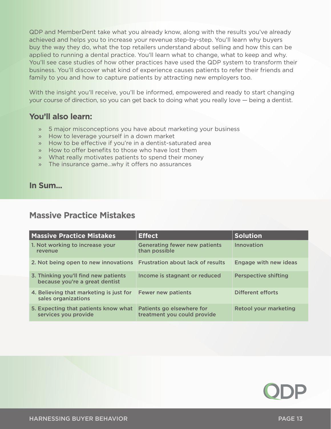QDP and MemberDent take what you already know, along with the results you've already achieved and helps you to increase your revenue step-by-step. You'll learn why buyers buy the way they do, what the top retailers understand about selling and how this can be applied to running a dental practice. You'll learn what to change, what to keep and why. You'll see case studies of how other practices have used the QDP system to transform their business. You'll discover what kind of experience causes patients to refer their friends and family to you and how to capture patients by attracting new employers too.

With the insight you'll receive, you'll be informed, empowered and ready to start changing your course of direction, so you can get back to doing what you really love — being a dentist.

#### **You'll also learn:**

- » 5 major misconceptions you have about marketing your business
- » How to leverage yourself in a down market
- » How to be effective if you're in a dentist-saturated area
- » How to offer benefits to those who have lost them
- » What really motivates patients to spend their money
- » The insurance game…why it offers no assurances

#### **In Sum...**

#### **Massive Practice Mistakes**

| <b>Massive Practice Mistakes</b>                                       | <b>Effect</b>                                            | <b>Solution</b>              |
|------------------------------------------------------------------------|----------------------------------------------------------|------------------------------|
| 1. Not working to increase your<br>revenue                             | <b>Generating fewer new patients</b><br>than possible    | Innovation                   |
| 2. Not being open to new innovations Frustration about lack of results |                                                          | Engage with new ideas        |
| 3. Thinking you'll find new patients<br>because you're a great dentist | Income is stagnant or reduced                            | <b>Perspective shifting</b>  |
| 4. Believing that marketing is just for<br>sales organizations         | <b>Fewer new patients</b>                                | Different efforts            |
| 5. Expecting that patients know what<br>services you provide           | Patients go elsewhere for<br>treatment you could provide | <b>Retool your marketing</b> |